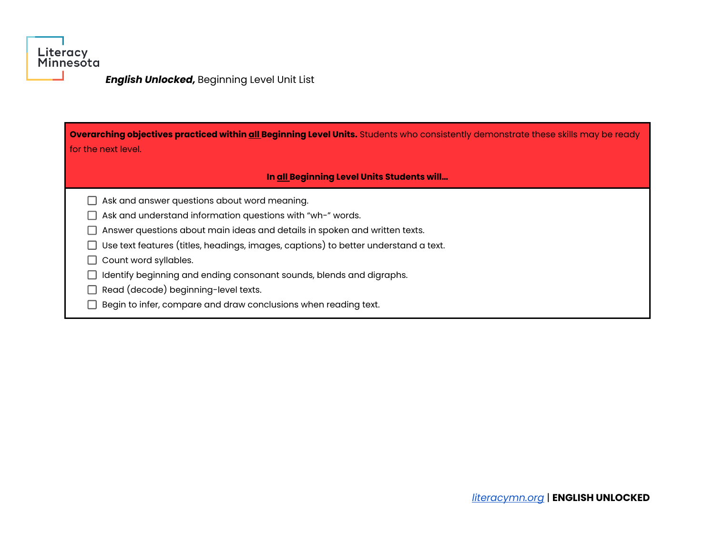

| Overarching objectives practiced within all Beginning Level Units. Students who consistently demonstrate these skills may be ready<br>for the next level. |
|-----------------------------------------------------------------------------------------------------------------------------------------------------------|
| In all Beginning Level Units Students will                                                                                                                |
| Ask and answer questions about word meaning.                                                                                                              |
| Ask and understand information questions with "wh-" words.                                                                                                |
| Answer questions about main ideas and details in spoken and written texts.                                                                                |
| Use text features (titles, headings, images, captions) to better understand a text.                                                                       |
| Count word syllables.                                                                                                                                     |
| Identify beginning and ending consonant sounds, blends and digraphs.                                                                                      |
| Read (decode) beginning-level texts.                                                                                                                      |
| Begin to infer, compare and draw conclusions when reading text.                                                                                           |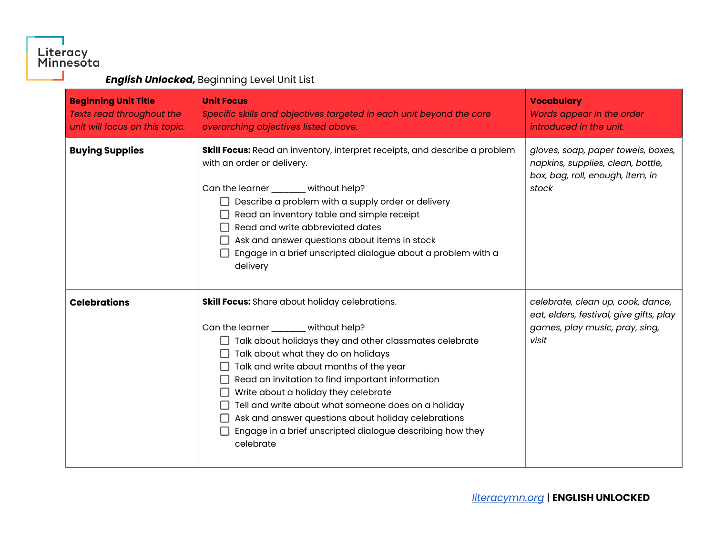| <b>Beginning Unit Title</b><br>Texts read throughout the<br>unit will focus on this topic. | <b>Unit Focus</b><br>Specific skills and objectives targeted in each unit beyond the core<br>overarching objectives listed above.                                                                                                                                                                                                                                                                                                                                                                                | <b>Vocabulary</b><br>Words appear in the order<br>introduced in the unit.                                               |
|--------------------------------------------------------------------------------------------|------------------------------------------------------------------------------------------------------------------------------------------------------------------------------------------------------------------------------------------------------------------------------------------------------------------------------------------------------------------------------------------------------------------------------------------------------------------------------------------------------------------|-------------------------------------------------------------------------------------------------------------------------|
| <b>Buying Supplies</b>                                                                     | Skill Focus: Read an inventory, interpret receipts, and describe a problem<br>with an order or delivery.<br>Can the learner ______ without help?<br>Describe a problem with a supply order or delivery<br>Read an inventory table and simple receipt<br>Read and write abbreviated dates<br>Ask and answer questions about items in stock<br>Engage in a brief unscripted dialogue about a problem with a<br>delivery                                                                                            | gloves, soap, paper towels, boxes,<br>napkins, supplies, clean, bottle,<br>box, bag, roll, enough, item, in<br>stock    |
| <b>Celebrations</b>                                                                        | Skill Focus: Share about holiday celebrations.<br>Can the learner without help?<br>Talk about holidays they and other classmates celebrate<br>Talk about what they do on holidays<br>Talk and write about months of the year<br>Read an invitation to find important information<br>Write about a holiday they celebrate<br>Tell and write about what someone does on a holiday<br>Ask and answer questions about holiday celebrations<br>Engage in a brief unscripted dialogue describing how they<br>celebrate | celebrate, clean up, cook, dance,<br>eat, elders, festival, give gifts, play<br>games, play music, pray, sing,<br>visit |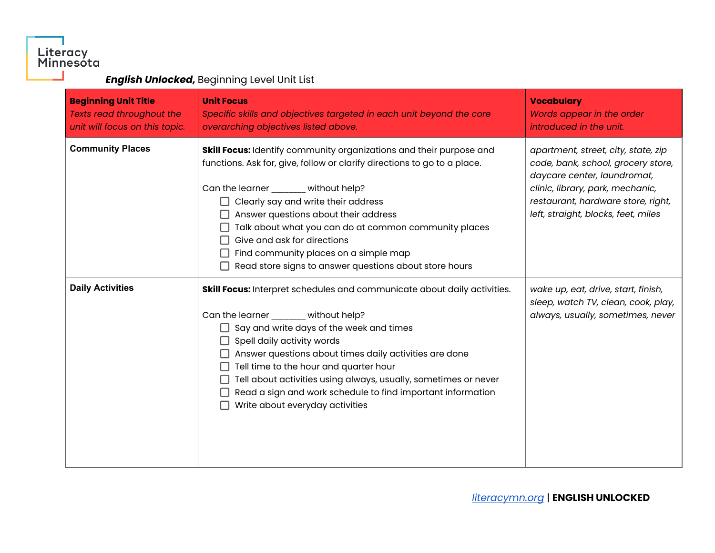| <b>Beginning Unit Title</b><br>Texts read throughout the<br>unit will focus on this topic. | <b>Unit Focus</b><br>Specific skills and objectives targeted in each unit beyond the core<br>overarching objectives listed above.                                                                                                                                                                                                                                                                                                                                   | <b>Vocabulary</b><br>Words appear in the order<br>introduced in the unit.                                                                                                                                                 |
|--------------------------------------------------------------------------------------------|---------------------------------------------------------------------------------------------------------------------------------------------------------------------------------------------------------------------------------------------------------------------------------------------------------------------------------------------------------------------------------------------------------------------------------------------------------------------|---------------------------------------------------------------------------------------------------------------------------------------------------------------------------------------------------------------------------|
| <b>Community Places</b>                                                                    | Skill Focus: Identify community organizations and their purpose and<br>functions. Ask for, give, follow or clarify directions to go to a place.<br>Can the learner ______ without help?<br>Clearly say and write their address<br>Answer questions about their address<br>Talk about what you can do at common community places<br>Give and ask for directions<br>Find community places on a simple map<br>Read store signs to answer questions about store hours   | apartment, street, city, state, zip<br>code, bank, school, grocery store,<br>daycare center, laundromat,<br>clinic, library, park, mechanic,<br>restaurant, hardware store, right,<br>left, straight, blocks, feet, miles |
| <b>Daily Activities</b>                                                                    | Skill Focus: Interpret schedules and communicate about daily activities.<br>Can the learner ______ without help?<br>Say and write days of the week and times<br>Spell daily activity words<br>Answer questions about times daily activities are done<br>Tell time to the hour and quarter hour<br>Tell about activities using always, usually, sometimes or never<br>Read a sign and work schedule to find important information<br>Write about everyday activities | wake up, eat, drive, start, finish,<br>sleep, watch TV, clean, cook, play,<br>always, usually, sometimes, never                                                                                                           |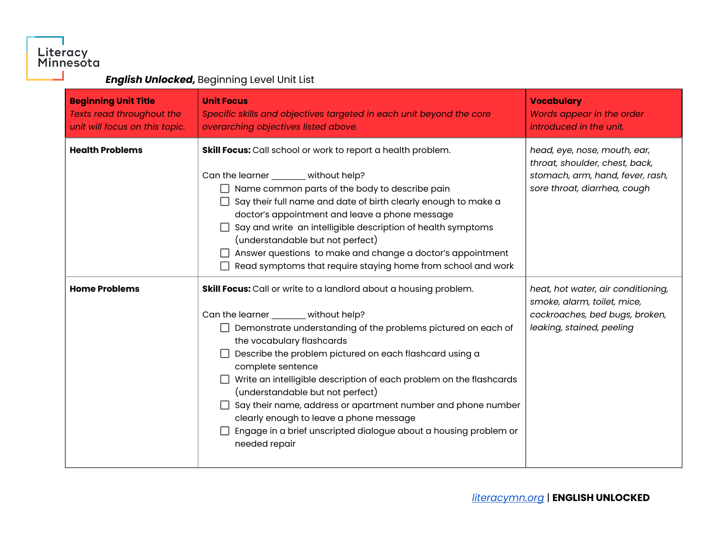| <b>Beginning Unit Title</b><br><b>Texts read throughout the</b><br>unit will focus on this topic. | <b>Unit Focus</b><br>Specific skills and objectives targeted in each unit beyond the core<br>overarching objectives listed above.                                                                                                                                                                                                                                                                                                                                                                                                                                                                  | <b>Vocabulary</b><br>Words appear in the order<br>introduced in the unit.                                                          |
|---------------------------------------------------------------------------------------------------|----------------------------------------------------------------------------------------------------------------------------------------------------------------------------------------------------------------------------------------------------------------------------------------------------------------------------------------------------------------------------------------------------------------------------------------------------------------------------------------------------------------------------------------------------------------------------------------------------|------------------------------------------------------------------------------------------------------------------------------------|
| <b>Health Problems</b>                                                                            | Skill Focus: Call school or work to report a health problem.<br>Can the learner ______ without help?<br>$\Box$ Name common parts of the body to describe pain<br>$\Box$ Say their full name and date of birth clearly enough to make a<br>doctor's appointment and leave a phone message<br>Say and write an intelligible description of health symptoms<br>(understandable but not perfect)<br>Answer questions to make and change a doctor's appointment<br>Read symptoms that require staying home from school and work                                                                         | head, eye, nose, mouth, ear,<br>throat, shoulder, chest, back,<br>stomach, arm, hand, fever, rash,<br>sore throat, diarrhea, cough |
| <b>Home Problems</b>                                                                              | Skill Focus: Call or write to a landlord about a housing problem.<br>Can the learner ______ without help?<br>Demonstrate understanding of the problems pictured on each of<br>the vocabulary flashcards<br>Describe the problem pictured on each flashcard using a<br>complete sentence<br>Write an intelligible description of each problem on the flashcards<br>(understandable but not perfect)<br>Say their name, address or apartment number and phone number<br>clearly enough to leave a phone message<br>Engage in a brief unscripted dialogue about a housing problem or<br>needed repair | heat, hot water, air conditioning,<br>smoke, alarm, toilet, mice,<br>cockroaches, bed bugs, broken,<br>leaking, stained, peeling   |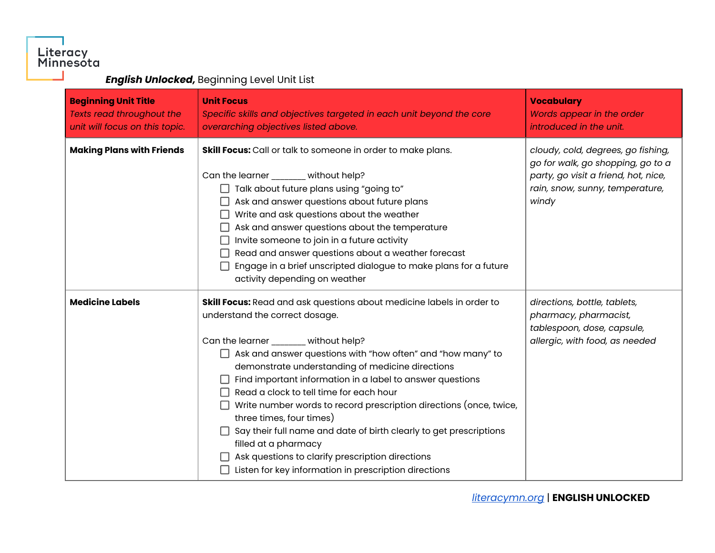| <b>Beginning Unit Title</b><br>Texts read throughout the<br>unit will focus on this topic. | <b>Unit Focus</b><br>Specific skills and objectives targeted in each unit beyond the core<br>overarching objectives listed above.                                                                                                                                                                                                                                                                                                                                                                                                                                                                                                                                                       | <b>Vocabulary</b><br>Words appear in the order<br>introduced in the unit.                                                                                   |
|--------------------------------------------------------------------------------------------|-----------------------------------------------------------------------------------------------------------------------------------------------------------------------------------------------------------------------------------------------------------------------------------------------------------------------------------------------------------------------------------------------------------------------------------------------------------------------------------------------------------------------------------------------------------------------------------------------------------------------------------------------------------------------------------------|-------------------------------------------------------------------------------------------------------------------------------------------------------------|
| <b>Making Plans with Friends</b>                                                           | Skill Focus: Call or talk to someone in order to make plans.<br>Can the learner ______ without help?<br>Talk about future plans using "going to"<br>Ask and answer questions about future plans<br>Write and ask questions about the weather<br>Ask and answer questions about the temperature<br>Invite someone to join in a future activity<br>Read and answer questions about a weather forecast<br>Engage in a brief unscripted dialogue to make plans for a future<br>activity depending on weather                                                                                                                                                                                | cloudy, cold, degrees, go fishing,<br>go for walk, go shopping, go to a<br>party, go visit a friend, hot, nice,<br>rain, snow, sunny, temperature,<br>windy |
| <b>Medicine Labels</b>                                                                     | Skill Focus: Read and ask questions about medicine labels in order to<br>understand the correct dosage.<br>Can the learner ______ without help?<br>Ask and answer questions with "how often" and "how many" to<br>demonstrate understanding of medicine directions<br>Find important information in a label to answer questions<br>Read a clock to tell time for each hour<br>Write number words to record prescription directions (once, twice,<br>three times, four times)<br>Say their full name and date of birth clearly to get prescriptions<br>filled at a pharmacy<br>Ask questions to clarify prescription directions<br>Listen for key information in prescription directions | directions, bottle, tablets,<br>pharmacy, pharmacist,<br>tablespoon, dose, capsule,<br>allergic, with food, as needed                                       |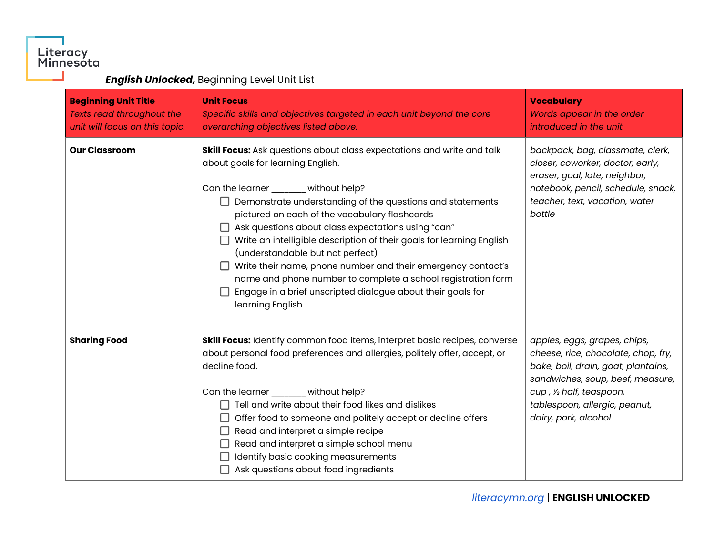| <b>Beginning Unit Title</b><br><b>Texts read throughout the</b><br>unit will focus on this topic. | <b>Unit Focus</b><br>Specific skills and objectives targeted in each unit beyond the core<br>overarching objectives listed above.                                                                                                                                                                                                                                                                                                                                                                                                                                                                                                                              | <b>Vocabulary</b><br>Words appear in the order<br>introduced in the unit.                                                                                                                                                           |
|---------------------------------------------------------------------------------------------------|----------------------------------------------------------------------------------------------------------------------------------------------------------------------------------------------------------------------------------------------------------------------------------------------------------------------------------------------------------------------------------------------------------------------------------------------------------------------------------------------------------------------------------------------------------------------------------------------------------------------------------------------------------------|-------------------------------------------------------------------------------------------------------------------------------------------------------------------------------------------------------------------------------------|
| <b>Our Classroom</b>                                                                              | Skill Focus: Ask questions about class expectations and write and talk<br>about goals for learning English.<br>Can the learner ______ without help?<br>$\Box$ Demonstrate understanding of the questions and statements<br>pictured on each of the vocabulary flashcards<br>Ask questions about class expectations using "can"<br>Write an intelligible description of their goals for learning English<br>(understandable but not perfect)<br>Write their name, phone number and their emergency contact's<br>name and phone number to complete a school registration form<br>Engage in a brief unscripted dialogue about their goals for<br>learning English | backpack, bag, classmate, clerk,<br>closer, coworker, doctor, early,<br>eraser, goal, late, neighbor,<br>notebook, pencil, schedule, snack,<br>teacher, text, vacation, water<br>bottle                                             |
| <b>Sharing Food</b>                                                                               | Skill Focus: Identify common food items, interpret basic recipes, converse<br>about personal food preferences and allergies, politely offer, accept, or<br>decline food.<br>Can the learner without help?<br>Tell and write about their food likes and dislikes<br>Offer food to someone and politely accept or decline offers<br>Read and interpret a simple recipe<br>$\mathsf{L}$<br>Read and interpret a simple school menu<br>Identify basic cooking measurements<br>Ask questions about food ingredients                                                                                                                                                 | apples, eggs, grapes, chips,<br>cheese, rice, chocolate, chop, fry,<br>bake, boil, drain, goat, plantains,<br>sandwiches, soup, beef, measure,<br>cup, 1/2 half, teaspoon,<br>tablespoon, allergic, peanut,<br>dairy, pork, alcohol |